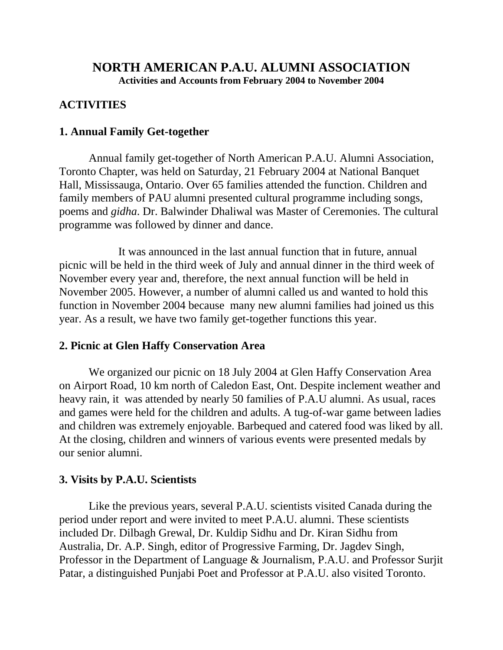# **NORTH AMERICAN P.A.U. ALUMNI ASSOCIATION Activities and Accounts from February 2004 to November 2004**

# **ACTIVITIES**

## **1. Annual Family Get-together**

Annual family get-together of North American P.A.U. Alumni Association, Toronto Chapter, was held on Saturday, 21 February 2004 at National Banquet Hall, Mississauga, Ontario. Over 65 families attended the function. Children and family members of PAU alumni presented cultural programme including songs, poems and *gidha*. Dr. Balwinder Dhaliwal was Master of Ceremonies. The cultural programme was followed by dinner and dance.

It was announced in the last annual function that in future, annual picnic will be held in the third week of July and annual dinner in the third week of November every year and, therefore, the next annual function will be held in November 2005. However, a number of alumni called us and wanted to hold this function in November 2004 because many new alumni families had joined us this year. As a result, we have two family get-together functions this year.

## **2. Picnic at Glen Haffy Conservation Area**

We organized our picnic on 18 July 2004 at Glen Haffy Conservation Area on Airport Road, 10 km north of Caledon East, Ont. Despite inclement weather and heavy rain, it was attended by nearly 50 families of P.A.U alumni. As usual, races and games were held for the children and adults. A tug-of-war game between ladies and children was extremely enjoyable. Barbequed and catered food was liked by all. At the closing, children and winners of various events were presented medals by our senior alumni.

## **3. Visits by P.A.U. Scientists**

Like the previous years, several P.A.U. scientists visited Canada during the period under report and were invited to meet P.A.U. alumni. These scientists included Dr. Dilbagh Grewal, Dr. Kuldip Sidhu and Dr. Kiran Sidhu from Australia, Dr. A.P. Singh, editor of Progressive Farming, Dr. Jagdev Singh, Professor in the Department of Language & Journalism, P.A.U. and Professor Surjit Patar, a distinguished Punjabi Poet and Professor at P.A.U. also visited Toronto.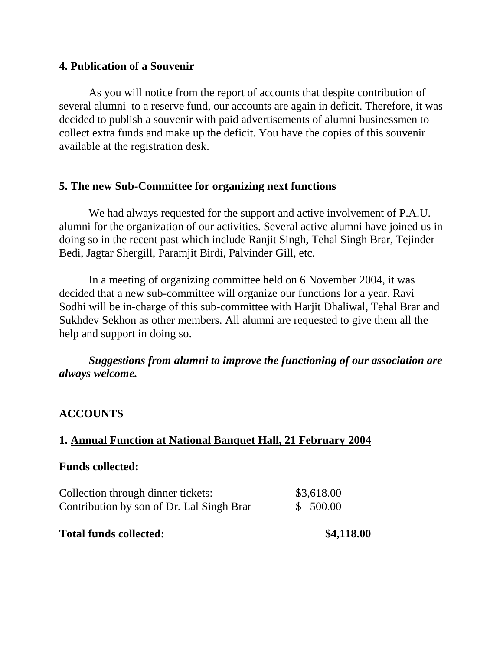### **4. Publication of a Souvenir**

As you will notice from the report of accounts that despite contribution of several alumni to a reserve fund, our accounts are again in deficit. Therefore, it was decided to publish a souvenir with paid advertisements of alumni businessmen to collect extra funds and make up the deficit. You have the copies of this souvenir available at the registration desk.

## **5. The new Sub-Committee for organizing next functions**

We had always requested for the support and active involvement of P.A.U. alumni for the organization of our activities. Several active alumni have joined us in doing so in the recent past which include Ranjit Singh, Tehal Singh Brar, Tejinder Bedi, Jagtar Shergill, Paramjit Birdi, Palvinder Gill, etc.

In a meeting of organizing committee held on 6 November 2004, it was decided that a new sub-committee will organize our functions for a year. Ravi Sodhi will be in-charge of this sub-committee with Harjit Dhaliwal, Tehal Brar and Sukhdev Sekhon as other members. All alumni are requested to give them all the help and support in doing so.

## *Suggestions from alumni to improve the functioning of our association are always welcome.*

# **ACCOUNTS**

# **1. Annual Function at National Banquet Hall, 21 February 2004**

#### **Funds collected:**

| Collection through dinner tickets:        | \$3,618.00 |
|-------------------------------------------|------------|
| Contribution by son of Dr. Lal Singh Brar | \$ 500.00  |
|                                           |            |

#### **Total funds collected: \$4,118.00**